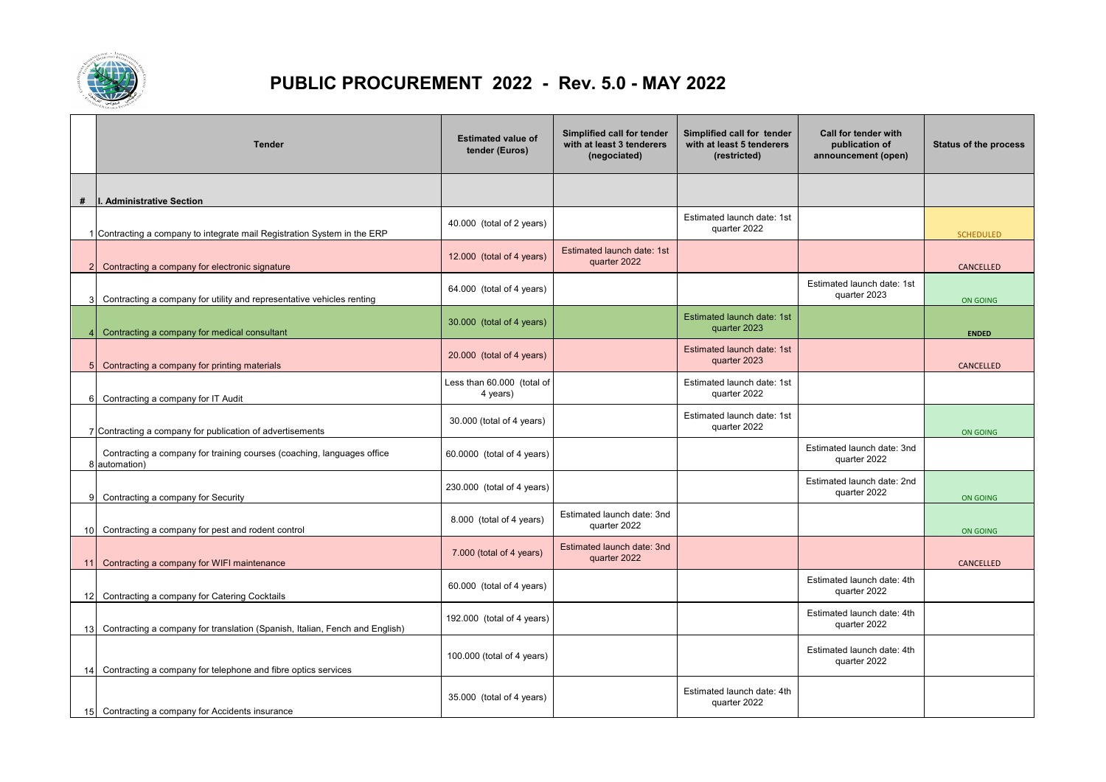

## **PUBLIC PROCUREMENT 2022 - Rev. 5.0 - MAY 2022**

|                 | <b>Tender</b>                                                                           | <b>Estimated value of</b><br>tender (Euros) | Simplified call for tender<br>with at least 3 tenderers<br>(negociated) | Simplified call for tender<br>with at least 5 tenderers<br>(restricted) | Call for tender with<br>publication of<br>announcement (open) | <b>Status of the process</b> |
|-----------------|-----------------------------------------------------------------------------------------|---------------------------------------------|-------------------------------------------------------------------------|-------------------------------------------------------------------------|---------------------------------------------------------------|------------------------------|
| #               | I. Administrative Section                                                               |                                             |                                                                         |                                                                         |                                                               |                              |
|                 | 1 Contracting a company to integrate mail Registration System in the ERP                | 40.000 (total of 2 years)                   |                                                                         | Estimated launch date: 1st<br>quarter 2022                              |                                                               | <b>SCHEDULED</b>             |
|                 | Contracting a company for electronic signature                                          | 12.000 (total of 4 years)                   | Estimated launch date: 1st<br>quarter 2022                              |                                                                         |                                                               | CANCELLED                    |
| 3               | Contracting a company for utility and representative vehicles renting                   | 64.000 (total of 4 years)                   |                                                                         |                                                                         | Estimated launch date: 1st<br>quarter 2023                    | ON GOING                     |
|                 | Contracting a company for medical consultant                                            | 30.000 (total of 4 years)                   |                                                                         | Estimated launch date: 1st<br>quarter 2023                              |                                                               | <b>ENDED</b>                 |
|                 | Contracting a company for printing materials                                            | 20.000 (total of 4 years)                   |                                                                         | Estimated launch date: 1st<br>quarter 2023                              |                                                               | CANCELLED                    |
| 6               | Contracting a company for IT Audit                                                      | Less than 60.000 (total of<br>4 years)      |                                                                         | Estimated launch date: 1st<br>quarter 2022                              |                                                               |                              |
|                 | 7 Contracting a company for publication of advertisements                               | 30.000 (total of 4 years)                   |                                                                         | Estimated launch date: 1st<br>quarter 2022                              |                                                               | ON GOING                     |
|                 | Contracting a company for training courses (coaching, languages office<br>8 automation) | 60.0000 (total of 4 years)                  |                                                                         |                                                                         | Estimated launch date: 3nd<br>quarter 2022                    |                              |
|                 | Contracting a company for Security                                                      | 230.000 (total of 4 years)                  |                                                                         |                                                                         | Estimated launch date: 2nd<br>quarter 2022                    | ON GOING                     |
| 10              | Contracting a company for pest and rodent control                                       | 8.000 (total of 4 years)                    | Estimated launch date: 3nd<br>quarter 2022                              |                                                                         |                                                               | ON GOING                     |
| 11              | Contracting a company for WIFI maintenance                                              | 7.000 (total of 4 years)                    | Estimated launch date: 3nd<br>quarter 2022                              |                                                                         |                                                               | CANCELLED                    |
| 12 <sub>l</sub> | Contracting a company for Catering Cocktails                                            | 60.000 (total of 4 years)                   |                                                                         |                                                                         | Estimated launch date: 4th<br>quarter 2022                    |                              |
| 13 <sub>l</sub> | Contracting a company for translation (Spanish, Italian, Fench and English)             | 192.000 (total of 4 years)                  |                                                                         |                                                                         | Estimated launch date: 4th<br>quarter 2022                    |                              |
| 14 <sup>1</sup> | Contracting a company for telephone and fibre optics services                           | 100.000 (total of 4 years)                  |                                                                         |                                                                         | Estimated launch date: 4th<br>quarter 2022                    |                              |
| 15 <sup>1</sup> | Contracting a company for Accidents insurance                                           | 35.000 (total of 4 years)                   |                                                                         | Estimated launch date: 4th<br>quarter 2022                              |                                                               |                              |